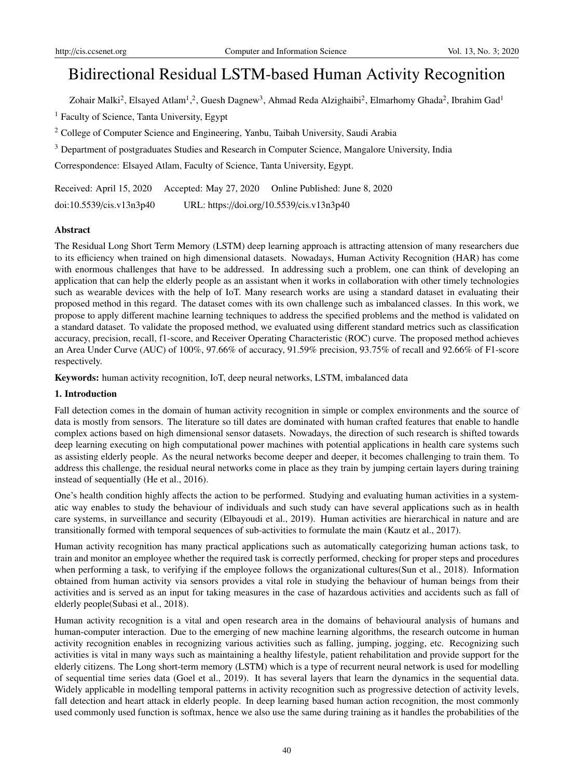# Bidirectional Residual LSTM-based Human Activity Recognition

Zohair Malki<sup>2</sup>, Elsayed Atlam<sup>1</sup>,<sup>2</sup>, Guesh Dagnew<sup>3</sup>, Ahmad Reda Alzighaibi<sup>2</sup>, Elmarhomy Ghada<sup>2</sup>, Ibrahim Gad<sup>1</sup>

<sup>1</sup> Faculty of Science, Tanta University, Egypt

<sup>2</sup> College of Computer Science and Engineering, Yanbu, Taibah University, Saudi Arabia

<sup>3</sup> Department of postgraduates Studies and Research in Computer Science, Mangalore University, India

Correspondence: Elsayed Atlam, Faculty of Science, Tanta University, Egypt.

Received: April 15, 2020 Accepted: May 27, 2020 Online Published: June 8, 2020

doi:10.5539/cis.v13n3p40 URL: https://doi.org/10.5539/cis.v13n3p40

## Abstract

The Residual Long Short Term Memory (LSTM) deep learning approach is attracting attension of many researchers due to its efficiency when trained on high dimensional datasets. Nowadays, Human Activity Recognition (HAR) has come with enormous challenges that have to be addressed. In addressing such a problem, one can think of developing an application that can help the elderly people as an assistant when it works in collaboration with other timely technologies such as wearable devices with the help of IoT. Many research works are using a standard dataset in evaluating their proposed method in this regard. The dataset comes with its own challenge such as imbalanced classes. In this work, we propose to apply different machine learning techniques to address the specified problems and the method is validated on a standard dataset. To validate the proposed method, we evaluated using different standard metrics such as classification accuracy, precision, recall, f1-score, and Receiver Operating Characteristic (ROC) curve. The proposed method achieves an Area Under Curve (AUC) of 100%, 97.66% of accuracy, 91.59% precision, 93.75% of recall and 92.66% of F1-score respectively.

Keywords: human activity recognition, IoT, deep neural networks, LSTM, imbalanced data

## 1. Introduction

Fall detection comes in the domain of human activity recognition in simple or complex environments and the source of data is mostly from sensors. The literature so till dates are dominated with human crafted features that enable to handle complex actions based on high dimensional sensor datasets. Nowadays, the direction of such research is shifted towards deep learning executing on high computational power machines with potential applications in health care systems such as assisting elderly people. As the neural networks become deeper and deeper, it becomes challenging to train them. To address this challenge, the residual neural networks come in place as they train by jumping certain layers during training instead of sequentially (He et al., 2016).

One's health condition highly affects the action to be performed. Studying and evaluating human activities in a systematic way enables to study the behaviour of individuals and such study can have several applications such as in health care systems, in surveillance and security (Elbayoudi et al., 2019). Human activities are hierarchical in nature and are transitionally formed with temporal sequences of sub-activities to formulate the main (Kautz et al., 2017).

Human activity recognition has many practical applications such as automatically categorizing human actions task, to train and monitor an employee whether the required task is correctly performed, checking for proper steps and procedures when performing a task, to verifying if the employee follows the organizational cultures(Sun et al., 2018). Information obtained from human activity via sensors provides a vital role in studying the behaviour of human beings from their activities and is served as an input for taking measures in the case of hazardous activities and accidents such as fall of elderly people(Subasi et al., 2018).

Human activity recognition is a vital and open research area in the domains of behavioural analysis of humans and human-computer interaction. Due to the emerging of new machine learning algorithms, the research outcome in human activity recognition enables in recognizing various activities such as falling, jumping, jogging, etc. Recognizing such activities is vital in many ways such as maintaining a healthy lifestyle, patient rehabilitation and provide support for the elderly citizens. The Long short-term memory (LSTM) which is a type of recurrent neural network is used for modelling of sequential time series data (Goel et al., 2019). It has several layers that learn the dynamics in the sequential data. Widely applicable in modelling temporal patterns in activity recognition such as progressive detection of activity levels, fall detection and heart attack in elderly people. In deep learning based human action recognition, the most commonly used commonly used function is softmax, hence we also use the same during training as it handles the probabilities of the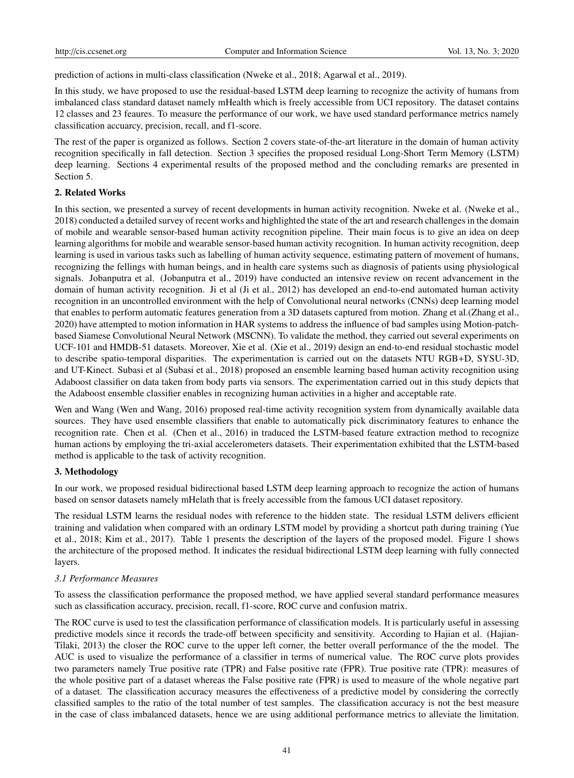prediction of actions in multi-class classification (Nweke et al., 2018; Agarwal et al., 2019).

In this study, we have proposed to use the residual-based LSTM deep learning to recognize the activity of humans from imbalanced class standard dataset namely mHealth which is freely accessible from UCI repository. The dataset contains 12 classes and 23 feaures. To measure the performance of our work, we have used standard performance metrics namely classification accuarcy, precision, recall, and f1-score.

The rest of the paper is organized as follows. Section 2 covers state-of-the-art literature in the domain of human activity recognition specifically in fall detection. Section 3 specifies the proposed residual Long-Short Term Memory (LSTM) deep learning. Sections 4 experimental results of the proposed method and the concluding remarks are presented in Section 5.

## 2. Related Works

In this section, we presented a survey of recent developments in human activity recognition. Nweke et al. (Nweke et al., 2018) conducted a detailed survey of recent works and highlighted the state of the art and research challenges in the domain of mobile and wearable sensor-based human activity recognition pipeline. Their main focus is to give an idea on deep learning algorithms for mobile and wearable sensor-based human activity recognition. In human activity recognition, deep learning is used in various tasks such as labelling of human activity sequence, estimating pattern of movement of humans, recognizing the fellings with human beings, and in health care systems such as diagnosis of patients using physiological signals. Jobanputra et al. (Jobanputra et al., 2019) have conducted an intensive review on recent advancement in the domain of human activity recognition. Ji et al (Ji et al., 2012) has developed an end-to-end automated human activity recognition in an uncontrolled environment with the help of Convolutional neural networks (CNNs) deep learning model that enables to perform automatic features generation from a 3D datasets captured from motion. Zhang et al.(Zhang et al., 2020) have attempted to motion information in HAR systems to address the influence of bad samples using Motion-patchbased Siamese Convolutional Neural Network (MSCNN). To validate the method, they carried out several experiments on UCF-101 and HMDB-51 datasets. Moreover, Xie et al. (Xie et al., 2019) design an end-to-end residual stochastic model to describe spatio-temporal disparities. The experimentation is carried out on the datasets NTU RGB+D, SYSU-3D, and UT-Kinect. Subasi et al (Subasi et al., 2018) proposed an ensemble learning based human activity recognition using Adaboost classifier on data taken from body parts via sensors. The experimentation carried out in this study depicts that the Adaboost ensemble classifier enables in recognizing human activities in a higher and acceptable rate.

Wen and Wang (Wen and Wang, 2016) proposed real-time activity recognition system from dynamically available data sources. They have used ensemble classifiers that enable to automatically pick discriminatory features to enhance the recognition rate. Chen et al. (Chen et al., 2016) in traduced the LSTM-based feature extraction method to recognize human actions by employing the tri-axial accelerometers datasets. Their experimentation exhibited that the LSTM-based method is applicable to the task of activity recognition.

## 3. Methodology

In our work, we proposed residual bidirectional based LSTM deep learning approach to recognize the action of humans based on sensor datasets namely mHelath that is freely accessible from the famous UCI dataset repository.

The residual LSTM learns the residual nodes with reference to the hidden state. The residual LSTM delivers efficient training and validation when compared with an ordinary LSTM model by providing a shortcut path during training (Yue et al., 2018; Kim et al., 2017). Table 1 presents the description of the layers of the proposed model. Figure 1 shows the architecture of the proposed method. It indicates the residual bidirectional LSTM deep learning with fully connected layers.

## *3.1 Performance Measures*

To assess the classification performance the proposed method, we have applied several standard performance measures such as classification accuracy, precision, recall, f1-score, ROC curve and confusion matrix.

The ROC curve is used to test the classification performance of classification models. It is particularly useful in assessing predictive models since it records the trade-off between specificity and sensitivity. According to Hajian et al. (Hajian-Tilaki, 2013) the closer the ROC curve to the upper left corner, the better overall performance of the the model. The AUC is used to visualize the performance of a classifier in terms of numerical value. The ROC curve plots provides two parameters namely True positive rate (TPR) and False positive rate (FPR). True positive rate (TPR): measures of the whole positive part of a dataset whereas the False positive rate (FPR) is used to measure of the whole negative part of a dataset. The classification accuracy measures the effectiveness of a predictive model by considering the correctly classified samples to the ratio of the total number of test samples. The classification accuracy is not the best measure in the case of class imbalanced datasets, hence we are using additional performance metrics to alleviate the limitation.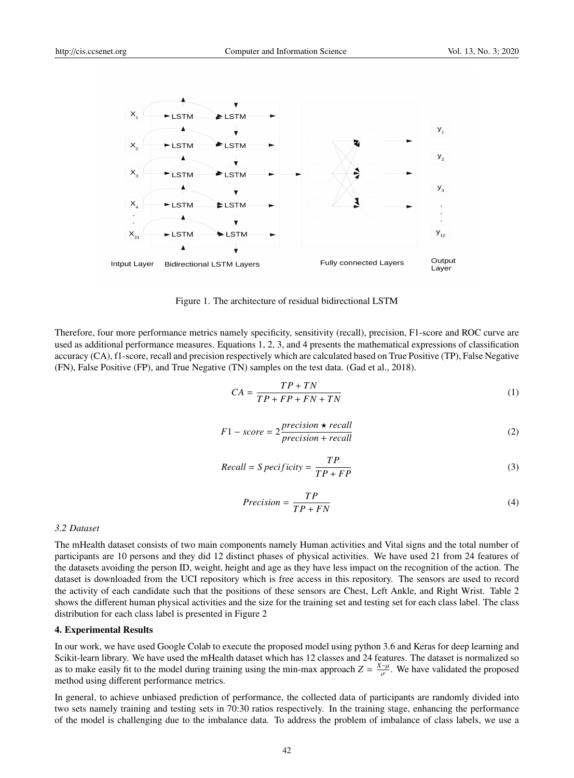

Figure 1. The architecture of residual bidirectional LSTM

Therefore, four more performance metrics namely specificity, sensitivity (recall), precision, F1-score and ROC curve are used as additional performance measures. Equations 1, 2, 3, and 4 presents the mathematical expressions of classification accuracy (CA), f1-score, recall and precision respectively which are calculated based on True Positive (TP), False Negative (FN), False Positive (FP), and True Negative (TN) samples on the test data. (Gad et al., 2018).

$$
CA = \frac{TP + TN}{TP + FP + FN + TN}
$$
 (1)

$$
F1-score = 2\frac{precision \star recall}{precision + recall}
$$
 (2)

$$
Recall = S \, pecificity = \frac{TP}{TP + FP}
$$
\n<sup>(3)</sup>

$$
Precision = \frac{TP}{TP + FN} \tag{4}
$$

#### *3.2 Dataset*

The mHealth dataset consists of two main components namely Human activities and Vital signs and the total number of participants are 10 persons and they did 12 distinct phases of physical activities. We have used 21 from 24 features of the datasets avoiding the person ID, weight, height and age as they have less impact on the recognition of the action. The dataset is downloaded from the UCI repository which is free access in this repository. The sensors are used to record the activity of each candidate such that the positions of these sensors are Chest, Left Ankle, and Right Wrist. Table 2 shows the different human physical activities and the size for the training set and testing set for each class label. The class distribution for each class label is presented in Figure 2

#### 4. Experimental Results

In our work, we have used Google Colab to execute the proposed model using python 3.6 and Keras for deep learning and Scikit-learn library. We have used the mHealth dataset which has 12 classes and 24 features. The dataset is normalized so as to make easily fit to the model during training using the min-max approach  $Z = \frac{X-\mu}{\sigma}$ . We have validated the proposed method using different performance metrics.

In general, to achieve unbiased prediction of performance, the collected data of participants are randomly divided into two sets namely training and testing sets in 70:30 ratios respectively. In the training stage, enhancing the performance of the model is challenging due to the imbalance data. To address the problem of imbalance of class labels, we use a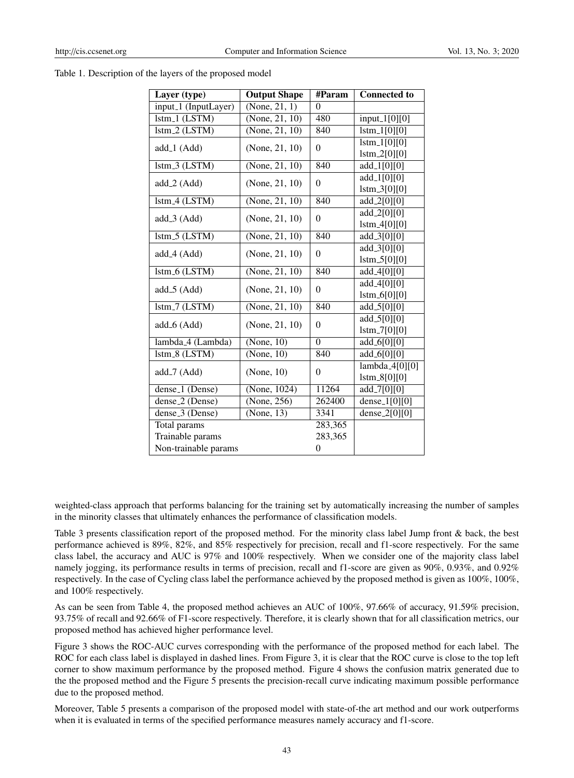| Table 1. Description of the layers of the proposed model |  |  |
|----------------------------------------------------------|--|--|
|----------------------------------------------------------|--|--|

| Layer (type)                              | <b>Output Shape</b> | #Param   | <b>Connected to</b>                           |  |  |  |  |
|-------------------------------------------|---------------------|----------|-----------------------------------------------|--|--|--|--|
| input <sub>-1</sub> (InputLayer)          | (None, 21, 1)       | $\Omega$ |                                               |  |  |  |  |
| $Istm_1 (LSTM)$                           | (None, $21, 10$ )   | 480      | $input_1[0][0]$                               |  |  |  |  |
| lstm.2 (LSTM)                             | (None, 21, 10)      | 840      | $1 \times 1[0][0]$                            |  |  |  |  |
| add_1 (Add)                               | (None, 21, 10)      | $\theta$ | $1 \times 1010$                               |  |  |  |  |
|                                           |                     |          | $1 \times m = 2[0][0]$                        |  |  |  |  |
| lstm_3 (LSTM)                             | (None, 21, 10)      | 840      | $add_{-1}[0][0]$                              |  |  |  |  |
| $add_2(Add)$                              | (None, 21, 10)      | $\theta$ | $add_{-1}[0][0]$                              |  |  |  |  |
|                                           |                     |          | $1stm_3[0][0]$                                |  |  |  |  |
| lstm <sub>-4</sub> (LSTM)                 | (None, 21, 10)      | 840      | add_2[0][0]                                   |  |  |  |  |
| $add_3(Add)$                              | (None, 21, 10)      | $\theta$ | $add_2[0][0]$                                 |  |  |  |  |
|                                           |                     |          | 1stm.4[0][0]                                  |  |  |  |  |
| $lstm_5 (LSTM)$                           | (None, 21, 10)      | 840      | $add_3[0][0]$                                 |  |  |  |  |
| add_4 (Add)                               | (None, 21, 10)      | $\Omega$ | add.3[0][0]                                   |  |  |  |  |
|                                           |                     |          | $1 \times m.5[0][0]$                          |  |  |  |  |
| lstm_6 (LSTM)                             | (None, 21, 10)      | 840      | $add_4[0][0]$                                 |  |  |  |  |
| $add_5(Add)$                              | (None, 21, 10)      | $\theta$ | $add_4[0][0]$                                 |  |  |  |  |
|                                           |                     |          | $1 \times 6[0][0]$                            |  |  |  |  |
| $Istm-7 (LSTM)$                           | (None, 21, 10)      | 840      | $add_5[0][0]$                                 |  |  |  |  |
|                                           |                     | $\theta$ | $add_5[0][0]$                                 |  |  |  |  |
| $add_6(Add)$<br>(None, 21, 10)            |                     |          | $1stm-7[0][0]$                                |  |  |  |  |
| lambda <sub>-4</sub> (Lambda)             | (None, 10)          | $\theta$ | $add_6[0][0]$                                 |  |  |  |  |
| lstm_8 (LSTM)                             | (None, 10)          | 840      | $add_6[0][0]$                                 |  |  |  |  |
| $add_7(Add)$                              | (None, 10)          | $\theta$ | $lambda_4[0][0]$                              |  |  |  |  |
|                                           |                     |          | $1stm_8[0][0]$                                |  |  |  |  |
| dense <sub>1</sub> (Dense)                | (None, 1024)        | 11264    | $\overline{\text{add}}$ <sub>-7[0][0]</sub>   |  |  |  |  |
| dense <sub>-2</sub> (Dense)               | (None, 256)         | 262400   | $\overline{\text{dense}}$ <sub>1</sub> [0][0] |  |  |  |  |
| dense <sub>-3</sub> (Dense)<br>(None, 13) |                     | 3341     | dense_ $2[0][0]$                              |  |  |  |  |
| Total params                              |                     | 283,365  |                                               |  |  |  |  |
| Trainable params                          |                     | 283,365  |                                               |  |  |  |  |
| Non-trainable params                      |                     | 0        |                                               |  |  |  |  |

weighted-class approach that performs balancing for the training set by automatically increasing the number of samples in the minority classes that ultimately enhances the performance of classification models.

Table 3 presents classification report of the proposed method. For the minority class label Jump front & back, the best performance achieved is 89%, 82%, and 85% respectively for precision, recall and f1-score respectively. For the same class label, the accuracy and AUC is 97% and 100% respectively. When we consider one of the majority class label namely jogging, its performance results in terms of precision, recall and f1-score are given as 90%, 0.93%, and 0.92% respectively. In the case of Cycling class label the performance achieved by the proposed method is given as 100%, 100%, and 100% respectively.

As can be seen from Table 4, the proposed method achieves an AUC of 100%, 97.66% of accuracy, 91.59% precision, 93.75% of recall and 92.66% of F1-score respectively. Therefore, it is clearly shown that for all classification metrics, our proposed method has achieved higher performance level.

Figure 3 shows the ROC-AUC curves corresponding with the performance of the proposed method for each label. The ROC for each class label is displayed in dashed lines. From Figure 3, it is clear that the ROC curve is close to the top left corner to show maximum performance by the proposed method. Figure 4 shows the confusion matrix generated due to the the proposed method and the Figure 5 presents the precision-recall curve indicating maximum possible performance due to the proposed method.

Moreover, Table 5 presents a comparison of the proposed model with state-of-the art method and our work outperforms when it is evaluated in terms of the specified performance measures namely accuracy and f1-score.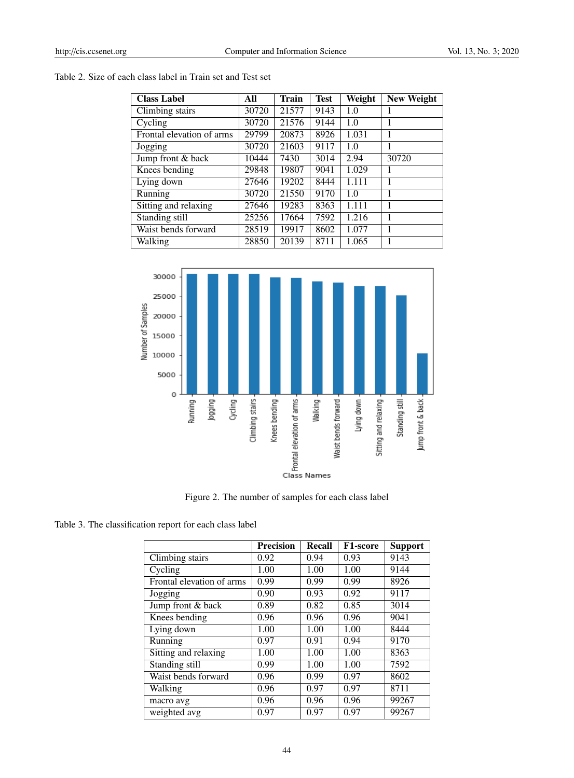# Table 2. Size of each class label in Train set and Test set

| <b>Class Label</b>        | All   | Train | <b>Test</b> | Weight | <b>New Weight</b> |
|---------------------------|-------|-------|-------------|--------|-------------------|
| Climbing stairs           | 30720 | 21577 | 9143        | 1.0    |                   |
| Cycling                   | 30720 | 21576 | 9144        | 1.0    |                   |
| Frontal elevation of arms | 29799 | 20873 | 8926        | 1.031  | 1                 |
| Jogging                   | 30720 | 21603 | 9117        | 1.0    |                   |
| Jump front & back         | 10444 | 7430  | 3014        | 2.94   | 30720             |
| Knees bending             | 29848 | 19807 | 9041        | 1.029  |                   |
| Lying down                | 27646 | 19202 | 8444        | 1.111  | 1                 |
| Running                   | 30720 | 21550 | 9170        | 1.0    | 1                 |
| Sitting and relaxing      | 27646 | 19283 | 8363        | 1.111  | 1                 |
| Standing still            | 25256 | 17664 | 7592        | 1.216  | 1                 |
| Waist bends forward       | 28519 | 19917 | 8602        | 1.077  |                   |
| Walking                   | 28850 | 20139 | 8711        | 1.065  |                   |



Figure 2. The number of samples for each class label

| Table 3. The classification report for each class label |  |
|---------------------------------------------------------|--|
|---------------------------------------------------------|--|

|                           | <b>Precision</b> | <b>Recall</b> | <b>F1-score</b> | <b>Support</b> |
|---------------------------|------------------|---------------|-----------------|----------------|
| Climbing stairs           | 0.92             | 0.94          | 0.93            | 9143           |
| Cycling                   | 1.00             | 1.00          | 1.00            | 9144           |
| Frontal elevation of arms | 0.99             | 0.99          | 0.99            | 8926           |
| Jogging                   | 0.90             | 0.93          | 0.92            | 9117           |
| Jump front & back         | 0.89             | 0.82          | 0.85            | 3014           |
| Knees bending             | 0.96             | 0.96          | 0.96            | 9041           |
| Lying down                | 1.00             | 1.00          | 1.00            | 8444           |
| Running                   | 0.97             | 0.91          | 0.94            | 9170           |
| Sitting and relaxing      | 1.00             | 1.00          | 1.00            | 8363           |
| Standing still            | 0.99             | 1.00          | 1.00            | 7592           |
| Waist bends forward       | 0.96             | 0.99          | 0.97            | 8602           |
| Walking                   | 0.96             | 0.97          | 0.97            | 8711           |
| macro avg                 | 0.96             | 0.96          | 0.96            | 99267          |
| weighted avg              | 0.97             | 0.97          | 0.97            | 99267          |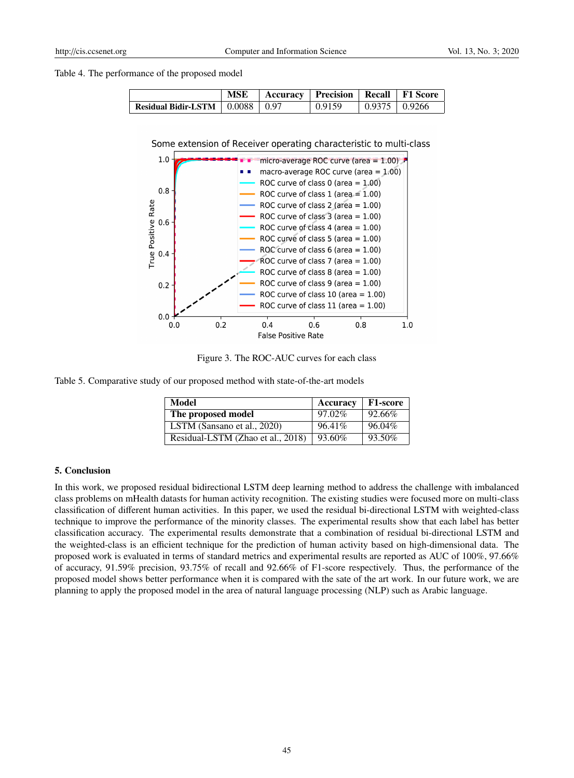Table 4. The performance of the proposed model

|                                                         | <b>MSE</b> | Accuracy   Precision   Recall   F1 Score |        |                               |  |
|---------------------------------------------------------|------------|------------------------------------------|--------|-------------------------------|--|
| Residual Bidir-LSTM $\parallel$ 0.0088 $\parallel$ 0.97 |            |                                          | 0.9159 | $\vert$ 0.9375 $\vert$ 0.9266 |  |

Some extension of Receiver operating characteristic to multi-class



Figure 3. The ROC-AUC curves for each class

Table 5. Comparative study of our proposed method with state-of-the-art models

| Model                             | Accuracy  | <b>F1-score</b> |
|-----------------------------------|-----------|-----------------|
| The proposed model                | $97.02\%$ | 92.66%          |
| LSTM (Sansano et al., 2020)       | 96.41%    | 96.04%          |
| Residual-LSTM (Zhao et al., 2018) | 93.60%    | 93.50%          |

#### 5. Conclusion

In this work, we proposed residual bidirectional LSTM deep learning method to address the challenge with imbalanced class problems on mHealth datasts for human activity recognition. The existing studies were focused more on multi-class classification of different human activities. In this paper, we used the residual bi-directional LSTM with weighted-class technique to improve the performance of the minority classes. The experimental results show that each label has better classification accuracy. The experimental results demonstrate that a combination of residual bi-directional LSTM and the weighted-class is an efficient technique for the prediction of human activity based on high-dimensional data. The proposed work is evaluated in terms of standard metrics and experimental results are reported as AUC of 100%, 97.66% of accuracy, 91.59% precision, 93.75% of recall and 92.66% of F1-score respectively. Thus, the performance of the proposed model shows better performance when it is compared with the sate of the art work. In our future work, we are planning to apply the proposed model in the area of natural language processing (NLP) such as Arabic language.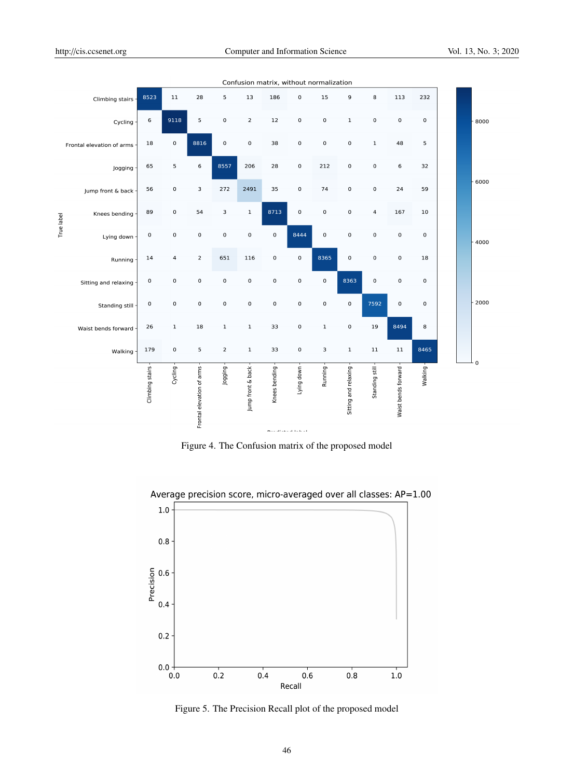| 8523<br>$\,$ 6  | 11           | 28             | 5                         |                   |               |             |             |                                                |                         |                     |             |        |
|-----------------|--------------|----------------|---------------------------|-------------------|---------------|-------------|-------------|------------------------------------------------|-------------------------|---------------------|-------------|--------|
|                 |              |                |                           | 13                | 186           | $\pmb{0}$   | 15          | 9                                              | 8                       | 113                 | 232         |        |
|                 | 9118         | 5              | $\mathsf{O}\xspace$       | $\mathbf 2$       | $12$          | $\pmb{0}$   | $\mathbf 0$ | $\mathbf 1$                                    | $\mathbf 0$             | $\mathbf 0$         | $\mathbf 0$ | - 8000 |
| 18              | 0            | 8816           | $\pmb{0}$                 | $\mathbf 0$       | 38            | $\pmb{0}$   | $\mathbf 0$ | $\pmb{0}$                                      | $\mathbf 1$             | 48                  | 5           |        |
| 65              | 5            | 6              | 8557                      | 206               | 28            | $\pmb{0}$   | 212         | $\pmb{0}$                                      | $\mathbf 0$             | 6                   | 32          |        |
| 56              | $\pmb{0}$    | 3              | 272                       | 2491              | 35            | $\pmb{0}$   | 74          | $\mathsf 0$                                    | $\mathbf 0$             | 24                  | 59          | - 6000 |
| 89              | 0            | 54             | 3                         | $\mathbf{1}$      | 8713          | $\mathbf 0$ | $\mathbf 0$ | $\mathbf 0$                                    | $\overline{\mathbf{4}}$ | 167                 | 10          |        |
| $\mathbf 0$     | 0            | $\mathsf 0$    | $\mathsf 0$               | $\pmb{0}$         | $\mathbf 0$   | 8444        | $\mathbf 0$ | $\mathsf 0$                                    | $\mathsf 0$             | $\pmb{0}$           | $\mathbf 0$ |        |
| 14              | 4            | $\overline{2}$ | 651                       | 116               | $\mathbf 0$   | $\mathbf 0$ | 8365        | $\mathbf 0$                                    | $\mathbf 0$             | $\pmb{0}$           | 18          |        |
| $\mathbf 0$     | 0            | $\mathsf{o}$   | $\mathsf 0$               | $\mathbf 0$       | $\mathbf 0$   | $\mathbf 0$ | $\pmb{0}$   | 8363                                           | $\mathbf 0$             | $\pmb{0}$           | $\mathbf 0$ |        |
| $\mathbf 0$     | $\mathbf 0$  | $\mathbf 0$    | $\mathsf{O}\xspace$       | $\mathbf 0$       | $\mathbf 0$   | $\pmb{0}$   | $\mathbf 0$ | 0                                              | 7592                    | $\mathbf 0$         | 0           |        |
| 26              | $\mathbf{1}$ | 18             | $\mathbf 1$               | $\mathbf{1}$      | 33            | $\pmb{0}$   | $\mathbf 1$ | 0                                              | 19                      | 8494                | 8           |        |
| 179             | $\mathbf 0$  | 5              | $\overline{2}$            | $\mathbf 1$       | 33            | $\pmb{0}$   | 3           | $\mathbf 1$                                    | $11\,$                  | $11\,$              | 8465        |        |
| Climbing stairs | Cycling -    |                | Jogging                   | Jump front & back | Knees bending | Lying down  | Running-    | Sitting and relaxing                           | Standing still          | Waist bends forward | Walking-    |        |
|                 |              |                | Frontal elevation of arms |                   |               |             |             | $\Theta$ and with a final state for $\Omega$ . |                         |                     |             |        |

Figure 4. The Confusion matrix of the proposed model



Average precision score, micro-averaged over all classes: AP=1.00

Figure 5. The Precision Recall plot of the proposed model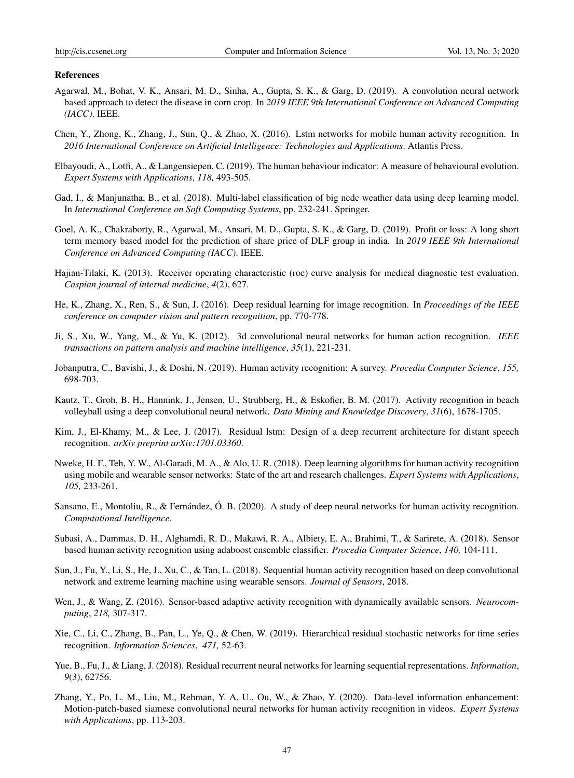#### References

- Agarwal, M., Bohat, V. K., Ansari, M. D., Sinha, A., Gupta, S. K., & Garg, D. (2019). A convolution neural network based approach to detect the disease in corn crop. In *2019 IEEE 9th International Conference on Advanced Computing (IACC)*. IEEE.
- Chen, Y., Zhong, K., Zhang, J., Sun, Q., & Zhao, X. (2016). Lstm networks for mobile human activity recognition. In *2016 International Conference on Artificial Intelligence: Technologies and Applications*. Atlantis Press.
- Elbayoudi, A., Lotfi, A., & Langensiepen, C. (2019). The human behaviour indicator: A measure of behavioural evolution. *Expert Systems with Applications*, *118,* 493-505.
- Gad, I., & Manjunatha, B., et al. (2018). Multi-label classification of big ncdc weather data using deep learning model. In *International Conference on Soft Computing Systems*, pp. 232-241. Springer.
- Goel, A. K., Chakraborty, R., Agarwal, M., Ansari, M. D., Gupta, S. K., & Garg, D. (2019). Profit or loss: A long short term memory based model for the prediction of share price of DLF group in india. In *2019 IEEE 9th International Conference on Advanced Computing (IACC)*. IEEE.
- Hajian-Tilaki, K. (2013). Receiver operating characteristic (roc) curve analysis for medical diagnostic test evaluation. *Caspian journal of internal medicine*, *4*(2), 627.
- He, K., Zhang, X., Ren, S., & Sun, J. (2016). Deep residual learning for image recognition. In *Proceedings of the IEEE conference on computer vision and pattern recognition*, pp. 770-778.
- Ji, S., Xu, W., Yang, M., & Yu, K. (2012). 3d convolutional neural networks for human action recognition. *IEEE transactions on pattern analysis and machine intelligence*, *35*(1), 221-231.
- Jobanputra, C., Bavishi, J., & Doshi, N. (2019). Human activity recognition: A survey. *Procedia Computer Science*, *155,* 698-703.
- Kautz, T., Groh, B. H., Hannink, J., Jensen, U., Strubberg, H., & Eskofier, B. M. (2017). Activity recognition in beach volleyball using a deep convolutional neural network. *Data Mining and Knowledge Discovery*, *31*(6), 1678-1705.
- Kim, J., El-Khamy, M., & Lee, J. (2017). Residual lstm: Design of a deep recurrent architecture for distant speech recognition. *arXiv preprint arXiv:1701.03360*.
- Nweke, H. F., Teh, Y. W., Al-Garadi, M. A., & Alo, U. R. (2018). Deep learning algorithms for human activity recognition using mobile and wearable sensor networks: State of the art and research challenges. *Expert Systems with Applications*, *105,* 233-261.
- Sansano, E., Montoliu, R., & Fernández, Ó. B. (2020). A study of deep neural networks for human activity recognition. *Computational Intelligence*.
- Subasi, A., Dammas, D. H., Alghamdi, R. D., Makawi, R. A., Albiety, E. A., Brahimi, T., & Sarirete, A. (2018). Sensor based human activity recognition using adaboost ensemble classifier. *Procedia Computer Science*, *140,* 104-111.
- Sun, J., Fu, Y., Li, S., He, J., Xu, C., & Tan, L. (2018). Sequential human activity recognition based on deep convolutional network and extreme learning machine using wearable sensors. *Journal of Sensors*, 2018.
- Wen, J., & Wang, Z. (2016). Sensor-based adaptive activity recognition with dynamically available sensors. *Neurocomputing*, *218,* 307-317.
- Xie, C., Li, C., Zhang, B., Pan, L., Ye, Q., & Chen, W. (2019). Hierarchical residual stochastic networks for time series recognition. *Information Sciences*, *471,* 52-63.
- Yue, B., Fu, J., & Liang, J. (2018). Residual recurrent neural networks for learning sequential representations. *Information*, *9*(3), 62756.
- Zhang, Y., Po, L. M., Liu, M., Rehman, Y. A. U., Ou, W., & Zhao, Y. (2020). Data-level information enhancement: Motion-patch-based siamese convolutional neural networks for human activity recognition in videos. *Expert Systems with Applications*, pp. 113-203.